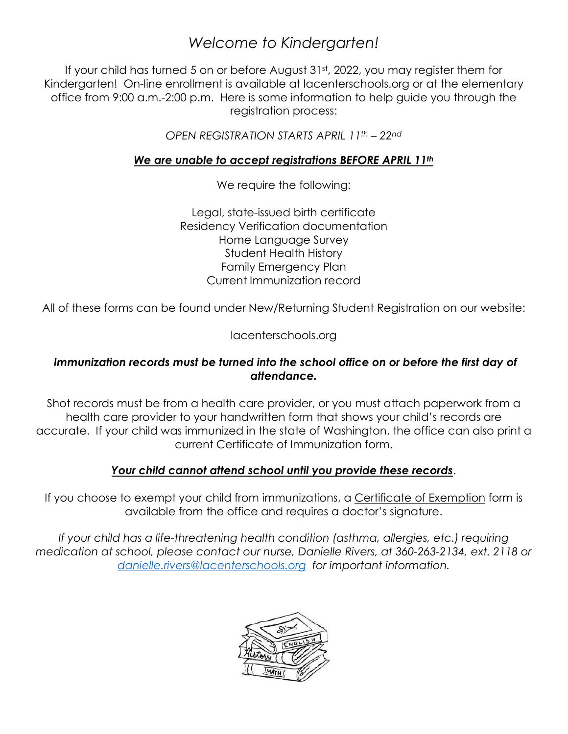# *Welcome to Kindergarten!*

If your child has turned 5 on or before August 31st, 2022, you may register them for Kindergarten! On-line enrollment is available at lacenterschools.org or at the elementary office from 9:00 a.m.-2:00 p.m. Here is some information to help guide you through the registration process:

*OPEN REGISTRATION STARTS APRIL 11th – 22nd*

#### *We are unable to accept registrations BEFORE APRIL 11th*

We require the following:

Legal, state-issued birth certificate Residency Verification documentation Home Language Survey Student Health History Family Emergency Plan Current Immunization record

All of these forms can be found under New/Returning Student Registration on our website:

lacenterschools.org

#### *Immunization records must be turned into the school office on or before the first day of attendance.*

Shot records must be from a health care provider, or you must attach paperwork from a health care provider to your handwritten form that shows your child's records are accurate. If your child was immunized in the state of Washington, the office can also print a current Certificate of Immunization form.

#### *Your child cannot attend school until you provide these records*.

If you choose to exempt your child from immunizations, a Certificate of Exemption form is available from the office and requires a doctor's signature.

*If your child has a life-threatening health condition (asthma, allergies, etc.) requiring medication at school, please contact our nurse, Danielle Rivers, at 360-263-2134, ext. 2118 or [danielle.rivers@lacenterschools.org](mailto:danielle.rivers@lacenterschools.org) for important information.*